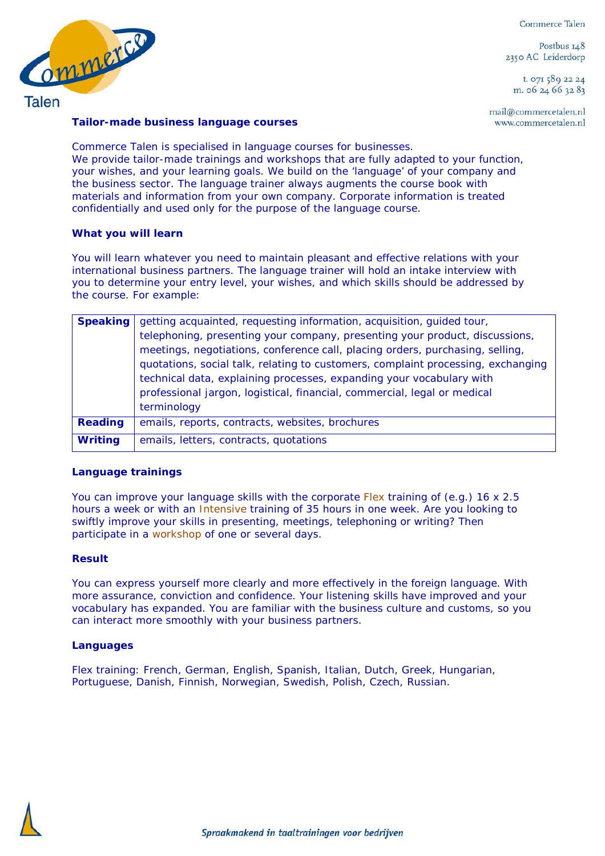Commerce Talen

Postbus 148 2350 AC Leiderdorp

t. 071 589 22 24 m. 06 24 66 32 83

mail@commercetalen.nl www.commercetalen.nl



### **Tailor-made business language courses**

Commerce Talen is specialised in language courses for businesses. We provide tailor-made trainings and workshops that are fully adapted to your function, your wishes, and your learning goals. We build on the 'language' of your company and the business sector. The language trainer always augments the course book with materials and information from your own company. Corporate information is treated confidentially and used only for the purpose of the language course.

## **What you will learn**

You will learn whatever you need to maintain pleasant and effective relations with your international business partners. The language trainer will hold an intake interview with you to determine your entry level, your wishes, and which skills should be addressed by the course. For example:

| <b>Speaking</b> | getting acquainted, requesting information, acquisition, guided tour,<br>telephoning, presenting your company, presenting your product, discussions,<br>meetings, negotiations, conference call, placing orders, purchasing, selling,<br>quotations, social talk, relating to customers, complaint processing, exchanging<br>technical data, explaining processes, expanding your vocabulary with<br>professional jargon, logistical, financial, commercial, legal or medical<br>terminology |
|-----------------|----------------------------------------------------------------------------------------------------------------------------------------------------------------------------------------------------------------------------------------------------------------------------------------------------------------------------------------------------------------------------------------------------------------------------------------------------------------------------------------------|
| <b>Reading</b>  | emails, reports, contracts, websites, brochures                                                                                                                                                                                                                                                                                                                                                                                                                                              |
| <b>Writing</b>  | emails, letters, contracts, quotations                                                                                                                                                                                                                                                                                                                                                                                                                                                       |

## **Language trainings**

You can improve your language skills with the corporate [Flex](http://www.commercetalen.nl/pages/en/language-training-flex.php) training of (e.g.) 16 x 2.5 hours a week or with an [Intensive](http://www.commercetalen.nl/pages/en/language-training-intensive.php) training of 35 hours in one week. Are you looking to swiftly improve your skills in presenting, meetings, telephoning or writing? Then participate in a [workshop](http://www.commercetalen.nl/pages/en/language-courses/workshop-conversation.php) of one or several days.

## **Result**

You can express yourself more clearly and more effectively in the foreign language. With more assurance, conviction and confidence. Your listening skills have improved and your vocabulary has expanded. You are familiar with the business culture and customs, so you can interact more smoothly with your business partners.

## **Languages**

Flex training: French, German, English, Spanish, Italian, Dutch, Greek, Hungarian, Portuguese, Danish, Finnish, Norwegian, Swedish, Polish, Czech, Russian.